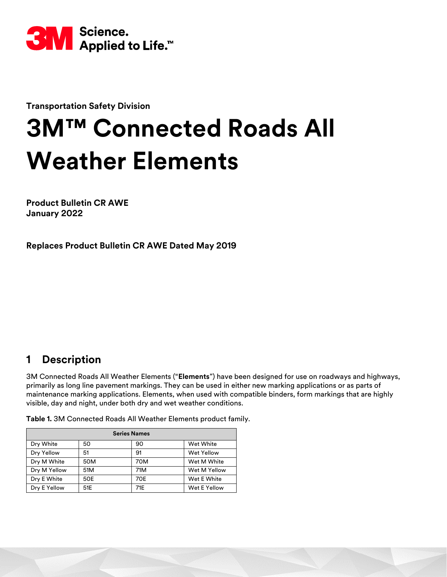

**Transportation Safety Division**

# **3M™ Connected Roads All Weather Elements**

**Product Bulletin CR AWE January 2022**

**Replaces Product Bulletin CR AWE Dated May 2019**

# **1 Description**

3M Connected Roads All Weather Elements ("**Elements**") have been designed for use on roadways and highways, primarily as long line pavement markings. They can be used in either new marking applications or as parts of maintenance marking applications. Elements, when used with compatible binders, form markings that are highly visible, day and night, under both dry and wet weather conditions.

**Table 1.** 3M Connected Roads All Weather Elements product family.

| <b>Series Names</b> |     |     |                   |  |
|---------------------|-----|-----|-------------------|--|
| Dry White           | 50  | 90  | Wet White         |  |
| Dry Yellow          | 51  | 91  | <b>Wet Yellow</b> |  |
| Dry M White         | 50M | 70M | Wet M White       |  |
| Dry M Yellow        | 51M | 71M | Wet M Yellow      |  |
| Dry E White         | 50E | 70E | Wet E White       |  |
| Dry E Yellow        | 51E | 71E | Wet E Yellow      |  |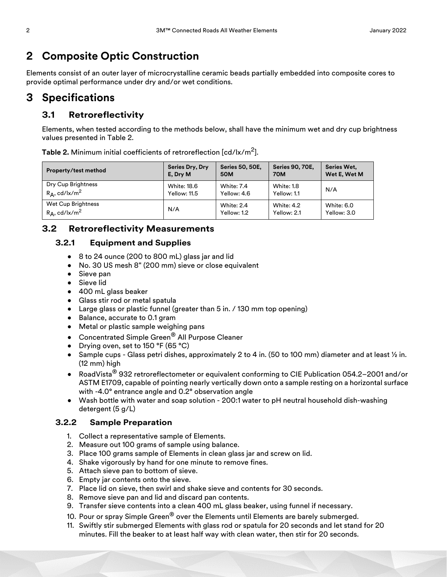# **2 Composite Optic Construction**

Elements consist of an outer layer of microcrystalline ceramic beads partially embedded into composite cores to provide optimal performance under dry and/or wet conditions.

## **3 Specifications**

## **3.1 Retroreflectivity**

Elements, when tested according to the methods below, shall have the minimum wet and dry cup brightness values presented in Table [2.](#page-1-0)

| Property/test method         | <b>Series Dry, Dry</b> | <b>Series 50, 50E,</b> | <b>Series 90, 70E,</b> | <b>Series Wet.</b> |
|------------------------------|------------------------|------------------------|------------------------|--------------------|
|                              | E, Dry M               | <b>50M</b>             | <b>70M</b>             | Wet E, Wet M       |
| Dry Cup Brightness           | <b>White: 18.6</b>     | <b>White: 7.4</b>      | White: 1.8             | N/A                |
| $R_A$ , cd/lx/m <sup>2</sup> | Yellow: 11.5           | Yellow: 4.6            | Yellow: 1.1            |                    |
| Wet Cup Brightness           | N/A                    | White: 2.4             | <b>White: 4.2</b>      | White: 6.0         |
| $R_A, cd/lx/m^2$             |                        | Yellow: 1.2            | Yellow: 2.1            | Yellow: 3.0        |

<span id="page-1-0"></span>**Table 2.** Minimum initial coefficients of retroreflection [cd/lx/m2].

#### **3.2 Retroreflectivity Measurements**

#### **3.2.1 Equipment and Supplies**

- 8 to 24 ounce (200 to 800 mL) glass jar and lid
- No. 30 US mesh 8" (200 mm) sieve or close equivalent
- Sieve pan
- Sieve lid
- 400 mL glass beaker
- Glass stir rod or metal spatula
- Large glass or plastic funnel (greater than 5 in. / 130 mm top opening)
- Balance, accurate to 0.1 gram
- Metal or plastic sample weighing pans
- Concentrated Simple Green® All Purpose Cleaner
- Drying oven, set to 150 °F (65 °C)
- Sample cups Glass petri dishes, approximately 2 to 4 in. (50 to 100 mm) diameter and at least ½ in. (12 mm) high
- RoadVista® 932 retroreflectometer or equivalent conforming to CIE Publication 054.2–2001 and/or ASTM E1709, capable of pointing nearly vertically down onto a sample resting on a horizontal surface with -4.0° entrance angle and 0.2° observation angle
- Wash bottle with water and soap solution 200:1 water to pH neutral household dish-washing detergent (5 g/L)

#### **3.2.2 Sample Preparation**

- 1. Collect a representative sample of Elements.
- 2. Measure out 100 grams of sample using balance.
- 3. Place 100 grams sample of Elements in clean glass jar and screw on lid.
- 4. Shake vigorously by hand for one minute to remove fines.
- 5. Attach sieve pan to bottom of sieve.
- 6. Empty jar contents onto the sieve.
- 7. Place lid on sieve, then swirl and shake sieve and contents for 30 seconds.
- 8. Remove sieve pan and lid and discard pan contents.
- 9. Transfer sieve contents into a clean 400 mL glass beaker, using funnel if necessary.
- 10. Pour or spray Simple Green<sup>®</sup> over the Elements until Elements are barely submerged.
- 11. Swiftly stir submerged Elements with glass rod or spatula for 20 seconds and let stand for 20 minutes. Fill the beaker to at least half way with clean water, then stir for 20 seconds.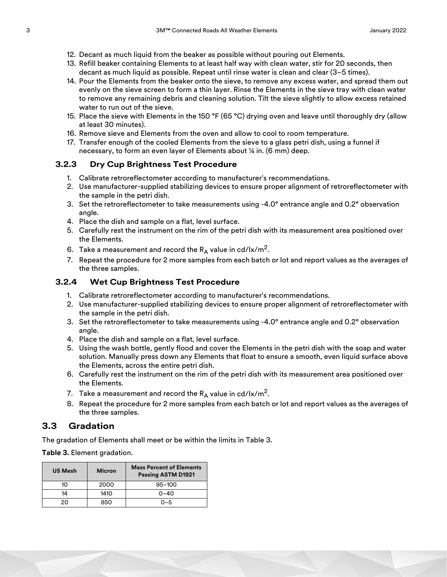- 12. Decant as much liquid from the beaker as possible without pouring out Elements.
- 13. Refill beaker containing Elements to at least half way with clean water, stir for 20 seconds, then decant as much liquid as possible. Repeat until rinse water is clean and clear (3–5 times).
- 14. Pour the Elements from the beaker onto the sieve, to remove any excess water, and spread them out evenly on the sieve screen to form a thin layer. Rinse the Elements in the sieve tray with clean water to remove any remaining debris and cleaning solution. Tilt the sieve slightly to allow excess retained water to run out of the sieve.
- 15. Place the sieve with Elements in the 150 °F (65 °C) drying oven and leave until thoroughly dry (allow at least 30 minutes).
- 16. Remove sieve and Elements from the oven and allow to cool to room temperature.
- 17. Transfer enough of the cooled Elements from the sieve to a glass petri dish, using a funnel if necessary, to form an even layer of Elements about ¼ in. (6 mm) deep.

#### **3.2.3 Dry Cup Brightness Test Procedure**

- 1. Calibrate retroreflectometer according to manufacturer's recommendations.
- 2. Use manufacturer-supplied stabilizing devices to ensure proper alignment of retroreflectometer with the sample in the petri dish.
- 3. Set the retroreflectometer to take measurements using -4.0° entrance angle and 0.2° observation angle.
- 4. Place the dish and sample on a flat, level surface.
- 5. Carefully rest the instrument on the rim of the petri dish with its measurement area positioned over the Elements.
- 6. Take a measurement and record the  $R_A$  value in cd/lx/m<sup>2</sup>.
- 7. Repeat the procedure for 2 more samples from each batch or lot and report values as the averages of the three samples.

#### **3.2.4 Wet Cup Brightness Test Procedure**

- 1. Calibrate retroreflectometer according to manufacturer's recommendations.
- 2. Use manufacturer-supplied stabilizing devices to ensure proper alignment of retroreflectometer with the sample in the petri dish.
- 3. Set the retroreflectometer to take measurements using -4.0° entrance angle and 0.2° observation angle.
- 4. Place the dish and sample on a flat, level surface.
- 5. Using the wash bottle, gently flood and cover the Elements in the petri dish with the soap and water solution. Manually press down any Elements that float to ensure a smooth, even liquid surface above the Elements, across the entire petri dish.
- 6. Carefully rest the instrument on the rim of the petri dish with its measurement area positioned over the Elements.
- 7. Take a measurement and record the  $R_A$  value in cd/lx/m<sup>2</sup>.
- 8. Repeat the procedure for 2 more samples from each batch or lot and report values as the averages of the three samples.

#### **3.3 Gradation**

The gradation of Elements shall meet or be within the limits in Table [3.](#page-2-0)

<span id="page-2-0"></span>**Table 3.** Element gradation.

| <b>US Mesh</b> | <b>Micron</b> | <b>Mass Percent of Elements</b><br>Passing ASTM D1921 |
|----------------|---------------|-------------------------------------------------------|
| 10             | 2000          | $95 - 100$                                            |
| 14             | 1410          | $0 - 40$                                              |
| 20             | 850           | በ–5                                                   |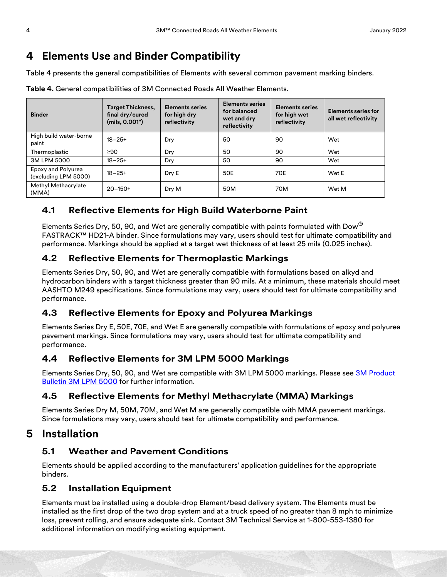# **4 Elements Use and Binder Compatibility**

Table [4](#page-3-0) presents the general compatibilities of Elements with several common pavement marking binders.

| <b>Binder</b>                              | <b>Target Thickness,</b><br>final dry/cured<br>(mils, 0.001") | <b>Elements series</b><br>for high dry<br>reflectivity | <b>Elements series</b><br>for balanced<br>wet and dry<br>reflectivity | <b>Elements series</b><br>for high wet<br>reflectivity | <b>Elements series for</b><br>all wet reflectivity |
|--------------------------------------------|---------------------------------------------------------------|--------------------------------------------------------|-----------------------------------------------------------------------|--------------------------------------------------------|----------------------------------------------------|
| High build water-borne<br>paint            | $18 - 25 +$                                                   | Dry                                                    | 50                                                                    | 90                                                     | Wet                                                |
| Thermoplastic                              | ≥ $90$                                                        | Dry                                                    | 50                                                                    | 90                                                     | Wet                                                |
| 3M LPM 5000                                | $18 - 25 +$                                                   | Dry                                                    | 50                                                                    | 90                                                     | Wet                                                |
| Epoxy and Polyurea<br>(excluding LPM 5000) | $18 - 25 +$                                                   | Dry E                                                  | 50E                                                                   | 70E                                                    | Wet E                                              |
| Methyl Methacrylate<br>(MMA)               | $20 - 150 +$                                                  | Dry M                                                  | 50M                                                                   | 70M                                                    | Wet M                                              |

<span id="page-3-0"></span>**Table 4.** General compatibilities of 3M Connected Roads All Weather Elements.

## **4.1 Reflective Elements for High Build Waterborne Paint**

Elements Series Dry, 50, 90, and Wet are generally compatible with paints formulated with Dow<sup>®</sup> FASTRACK™ HD21-A binder. Since formulations may vary, users should test for ultimate compatibility and performance. Markings should be applied at a target wet thickness of at least 25 mils (0.025 inches).

## **4.2 Reflective Elements for Thermoplastic Markings**

Elements Series Dry, 50, 90, and Wet are generally compatible with formulations based on alkyd and hydrocarbon binders with a target thickness greater than 90 mils. At a minimum, these materials should meet AASHTO M249 specifications. Since formulations may vary, users should test for ultimate compatibility and performance.

## **4.3 Reflective Elements for Epoxy and Polyurea Markings**

Elements Series Dry E, 50E, 70E, and Wet E are generally compatible with formulations of epoxy and polyurea pavement markings. Since formulations may vary, users should test for ultimate compatibility and performance.

## **4.4 Reflective Elements for 3M LPM 5000 Markings**

Elements Series Dry, 50, 90, and Wet are compatible with 3M LPM 5000 markings. Please see 3M Product [Bulletin 3M LPM 5000](http://multimedia.3m.com/mws/media/826805O/pb-5000-3m-liquid-pavement-markings-series-5000.pdf) for further information.

## **4.5 Reflective Elements for Methyl Methacrylate (MMA) Markings**

Elements Series Dry M, 50M, 70M, and Wet M are generally compatible with MMA pavement markings. Since formulations may vary, users should test for ultimate compatibility and performance.

## **5 Installation**

## **5.1 Weather and Pavement Conditions**

Elements should be applied according to the manufacturers' application guidelines for the appropriate binders.

#### **5.2 Installation Equipment**

Elements must be installed using a double-drop Element/bead delivery system. The Elements must be installed as the first drop of the two drop system and at a truck speed of no greater than 8 mph to minimize loss, prevent rolling, and ensure adequate sink. Contact 3M Technical Service at 1-800-553-1380 for additional information on modifying existing equipment.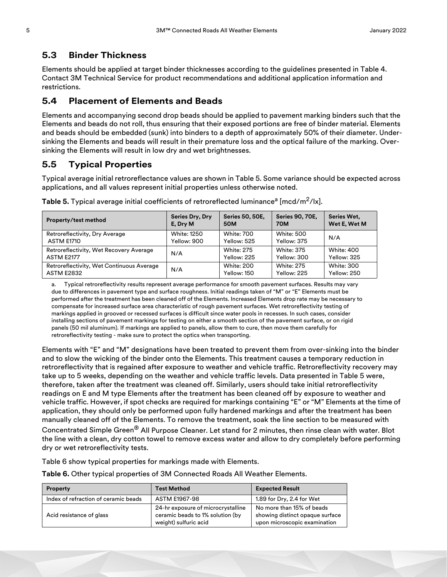## **5.3 Binder Thickness**

Elements should be applied at target binder thicknesses according to the guidelines presented in Table [4.](#page-3-0) Contact 3M Technical Service for product recommendations and additional application information and restrictions.

## **5.4 Placement of Elements and Beads**

Elements and accompanying second drop beads should be applied to pavement marking binders such that the Elements and beads do not roll, thus ensuring that their exposed portions are free of binder material. Elements and beads should be embedded (sunk) into binders to a depth of approximately 50% of their diameter. Undersinking the Elements and beads will result in their premature loss and the optical failure of the marking. Oversinking the Elements will result in low dry and wet brightnesses.

## **5.5 Typical Properties**

Typical average initial retroreflectance values are shown in Table [5.](#page-4-0) Some variance should be expected across applications, and all values represent initial properties unless otherwise noted.

| Property/test method                      | <b>Series Dry, Dry</b><br>E, Dry M | <b>Series 50, 50E,</b><br><b>50M</b> | <b>Series 90, 70E,</b><br><b>70M</b> | Series Wet.<br>Wet E, Wet M |
|-------------------------------------------|------------------------------------|--------------------------------------|--------------------------------------|-----------------------------|
| Retroreflectivity, Dry Average            | <b>White: 1250</b>                 | <b>White: 700</b>                    | <b>White: 500</b>                    | N/A                         |
| ASTM E1710                                | Yellow: 900                        | Yellow: 525                          | Yellow: 375                          |                             |
| Retroreflectivity, Wet Recovery Average   | N/A                                | <b>White: 275</b>                    | <b>White: 375</b>                    | White: 400                  |
| ASTM E2177                                |                                    | Yellow: 225                          | Yellow: 300                          | Yellow: 325                 |
| Retroreflectivity, Wet Continuous Average | N/A                                | <b>White: 200</b>                    | <b>White: 275</b>                    | <b>White: 300</b>           |
| <b>ASTM E2832</b>                         |                                    | Yellow: 150                          | Yellow: 225                          | Yellow: 250                 |

<span id="page-4-0"></span>**Table 5.** Typical average initial coefficients of retroreflected luminance<sup>a</sup> [mcd/m<sup>2</sup>/lx].

a. Typical retroreflectivity results represent average performance for smooth pavement surfaces. Results may vary due to differences in pavement type and surface roughness. Initial readings taken of "M" or "E" Elements must be performed after the treatment has been cleaned off of the Elements. Increased Elements drop rate may be necessary to compensate for increased surface area characteristic of rough pavement surfaces. Wet retroreflectivity testing of markings applied in grooved or recessed surfaces is difficult since water pools in recesses. In such cases, consider installing sections of pavement markings for testing on either a smooth section of the pavement surface, or on rigid panels (50 mil aluminum). If markings are applied to panels, allow them to cure, then move them carefully for retroreflectivity testing - make sure to protect the optics when transporting.

Elements with "E" and "M" designations have been treated to prevent them from over-sinking into the binder and to slow the wicking of the binder onto the Elements. This treatment causes a temporary reduction in retroreflectivity that is regained after exposure to weather and vehicle traffic. Retroreflectivity recovery may take up to 5 weeks, depending on the weather and vehicle traffic levels. Data presented in Table 5 were, therefore, taken after the treatment was cleaned off. Similarly, users should take initial retroreflectivity readings on E and M type Elements after the treatment has been cleaned off by exposure to weather and vehicle traffic. However, if spot checks are required for markings containing "E" or "M" Elements at the time of application, they should only be performed upon fully hardened markings and after the treatment has been manually cleaned off of the Elements. To remove the treatment, soak the line section to be measured with

Concentrated Simple Green® All Purpose Cleaner. Let stand for 2 minutes, then rinse clean with water. Blot the line with a clean, dry cotton towel to remove excess water and allow to dry completely before performing dry or wet retroreflectivity tests.

Table 6 show typical properties for markings made with Elements.

**Table 6.** Other typical properties of 3M Connected Roads All Weather Elements.

| <b>Property</b>                      | <b>Test Method</b>                                                                              | <b>Expected Result</b>                                                                       |
|--------------------------------------|-------------------------------------------------------------------------------------------------|----------------------------------------------------------------------------------------------|
| Index of refraction of ceramic beads | ASTM E1967-98                                                                                   | 1.89 for Dry, 2.4 for Wet                                                                    |
| Acid resistance of glass             | 24-hr exposure of microcrystalline<br>ceramic beads to 1% solution (by<br>weight) sulfuric acid | No more than 15% of beads<br>showing distinct opaque surface<br>upon microscopic examination |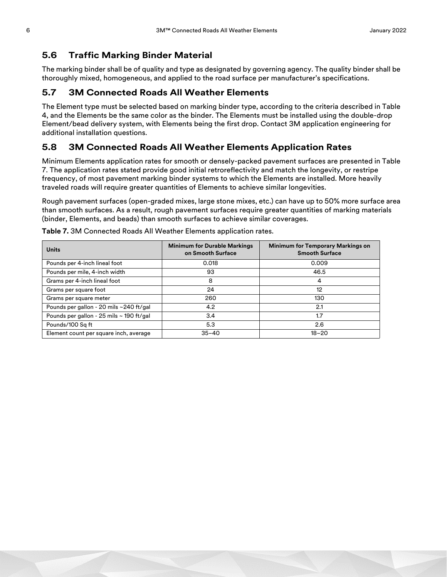#### **5.6 Traffic Marking Binder Material**

The marking binder shall be of quality and type as designated by governing agency. The quality binder shall be thoroughly mixed, homogeneous, and applied to the road surface per manufacturer's specifications.

#### **5.7 3M Connected Roads All Weather Elements**

The Element type must be selected based on marking binder type, according to the criteria described in Table [4,](#page-3-0) and the Elements be the same color as the binder. The Elements must be installed using the double-drop Element/bead delivery system, with Elements being the first drop. Contact 3M application engineering for additional installation questions.

#### **5.8 3M Connected Roads All Weather Elements Application Rates**

Minimum Elements application rates for smooth or densely-packed pavement surfaces are presented in Table [7](#page-5-0). The application rates stated provide good initial retroreflectivity and match the longevity, or restripe frequency, of most pavement marking binder systems to which the Elements are installed. More heavily traveled roads will require greater quantities of Elements to achieve similar longevities.

Rough pavement surfaces (open-graded mixes, large stone mixes, etc.) can have up to 50% more surface area than smooth surfaces. As a result, rough pavement surfaces require greater quantities of marking materials (binder, Elements, and beads) than smooth surfaces to achieve similar coverages.

| <b>Units</b>                             | <b>Minimum for Durable Markings</b><br>on Smooth Surface | <b>Minimum for Temporary Markings on</b><br><b>Smooth Surface</b> |
|------------------------------------------|----------------------------------------------------------|-------------------------------------------------------------------|
| Pounds per 4-inch lineal foot            | 0.018                                                    | 0.009                                                             |
| Pounds per mile, 4-inch width            | 93                                                       | 46.5                                                              |
| Grams per 4-inch lineal foot             | 8                                                        | 4                                                                 |
| Grams per square foot                    | 24                                                       | 12                                                                |
| Grams per square meter                   | 260                                                      | 130                                                               |
| Pounds per gallon - 20 mils ~240 ft/gal  | 4.2                                                      | 2.1                                                               |
| Pounds per gallon - 25 mils ~ 190 ft/gal | 3.4                                                      | 1.7                                                               |
| Pounds/100 Sq ft                         | 5.3                                                      | 2.6                                                               |
| Element count per square inch, average   | $35 - 40$                                                | $18 - 20$                                                         |

<span id="page-5-0"></span>**Table 7.** 3M Connected Roads All Weather Elements application rates.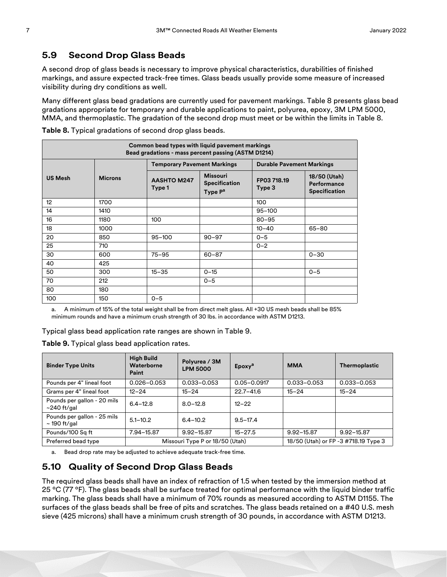#### **5.9 Second Drop Glass Beads**

A second drop of glass beads is necessary to improve physical characteristics, durabilities of finished markings, and assure expected track-free times. Glass beads usually provide some measure of increased visibility during dry conditions as well.

Many different glass bead gradations are currently used for pavement markings. Table [8](#page-6-0) presents glass bead gradations appropriate for temporary and durable applications to paint, polyurea, epoxy, 3M LPM 5000, MMA, and thermoplastic. The gradation of the second drop must meet or be within the limits in Table [8](#page-6-0).

| Common bead types with liquid pavement markings<br>Bead gradations - mass percent passing (ASTM D1214) |                |                                    |                                                                |                                  |                                                     |
|--------------------------------------------------------------------------------------------------------|----------------|------------------------------------|----------------------------------------------------------------|----------------------------------|-----------------------------------------------------|
|                                                                                                        |                | <b>Temporary Pavement Markings</b> |                                                                | <b>Durable Pavement Markings</b> |                                                     |
| <b>US Mesh</b>                                                                                         | <b>Microns</b> | <b>AASHTO M247</b><br>Type 1       | <b>Missouri</b><br><b>Specification</b><br>Type P <sup>a</sup> | FP03 718.19<br>Type 3            | 18/50 (Utah)<br>Performance<br><b>Specification</b> |
| 12                                                                                                     | 1700           |                                    |                                                                | 100                              |                                                     |
| 14                                                                                                     | 1410           |                                    |                                                                | $95 - 100$                       |                                                     |
| 16                                                                                                     | 1180           | 100                                |                                                                | $80 - 95$                        |                                                     |
| 18                                                                                                     | 1000           |                                    |                                                                | $10 - 40$                        | 65-80                                               |
| 20                                                                                                     | 850            | $95 - 100$                         | $90 - 97$                                                      | $0 - 5$                          |                                                     |
| 25                                                                                                     | 710            |                                    |                                                                | $0 - 2$                          |                                                     |
| 30                                                                                                     | 600            | $75 - 95$                          | $60 - 87$                                                      |                                  | $0 - 30$                                            |
| 40                                                                                                     | 425            |                                    |                                                                |                                  |                                                     |
| 50                                                                                                     | 300            | $15 - 35$                          | $0 - 15$                                                       |                                  | $0 - 5$                                             |
| 70                                                                                                     | 212            |                                    | $0 - 5$                                                        |                                  |                                                     |
| 80                                                                                                     | 180            |                                    |                                                                |                                  |                                                     |
| 100                                                                                                    | 150            | $0 - 5$                            |                                                                |                                  |                                                     |

<span id="page-6-0"></span>**Table 8.** Typical gradations of second drop glass beads.

a. A minimum of 15% of the total weight shall be from direct melt glass. All +30 US mesh beads shall be 85% minimum rounds and have a minimum crush strength of 30 lbs. in accordance with ASTM D1213.

Typical glass bead application rate ranges are shown in Table [9](#page-6-1).

<span id="page-6-1"></span>**Table 9.** Typical glass bead application rates.

| <b>Binder Type Units</b>                         | <b>High Build</b><br>Waterborne<br>Paint | Polyurea / 3M<br><b>LPM 5000</b> | Epoxy <sup>a</sup> | <b>MMA</b>                           | <b>Thermoplastic</b> |
|--------------------------------------------------|------------------------------------------|----------------------------------|--------------------|--------------------------------------|----------------------|
| Pounds per 4" lineal foot                        | $0.026 - 0.053$                          | $0.033 - 0.053$                  | $0.05 - 0.0917$    | $0.033 - 0.053$                      | $0.033 - 0.053$      |
| Grams per 4" lineal foot                         | $12 - 24$                                | $15 - 24$                        | $22.7 - 41.6$      | $15 - 24$                            | $15 - 24$            |
| Pounds per gallon - 20 mils<br>$\sim$ 240 ft/gal | $6.4 - 12.8$                             | $8.0 - 12.8$                     | $12 - 22$          |                                      |                      |
| Pounds per gallon - 25 mils<br>$\sim$ 190 ft/gal | $5.1 - 10.2$                             | $6.4 - 10.2$                     | $9.5 - 17.4$       |                                      |                      |
| Pounds/100 Sq ft                                 | 7.94-15.87                               | $9.92 - 15.87$                   | $15 - 27.5$        | 9.92-15.87                           | $9.92 - 15.87$       |
| Preferred bead type                              | Missouri Type P or 18/50 (Utah)          |                                  |                    | 18/50 (Utah) or FP -3 #718.19 Type 3 |                      |

a. Bead drop rate may be adjusted to achieve adequate track-free time.

#### **5.10 Quality of Second Drop Glass Beads**

The required glass beads shall have an index of refraction of 1.5 when tested by the immersion method at 25 °C (77 °F). The glass beads shall be surface treated for optimal performance with the liquid binder traffic marking. The glass beads shall have a minimum of 70% rounds as measured according to ASTM D1155. The surfaces of the glass beads shall be free of pits and scratches. The glass beads retained on a #40 U.S. mesh sieve (425 microns) shall have a minimum crush strength of 30 pounds, in accordance with ASTM D1213.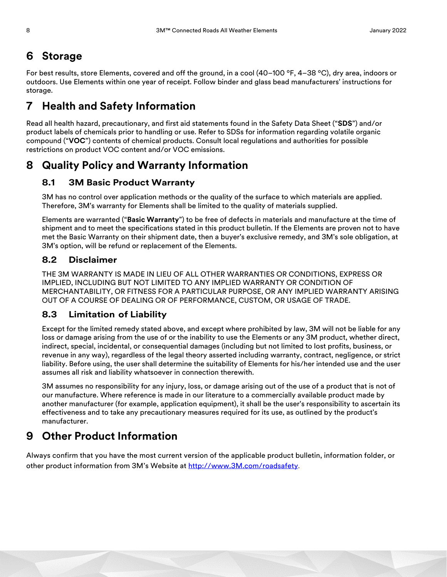# **6 Storage**

For best results, store Elements, covered and off the ground, in a cool (40–100 °F, 4–38 °C), dry area, indoors or outdoors. Use Elements within one year of receipt. Follow binder and glass bead manufacturers' instructions for storage.

# **7 Health and Safety Information**

Read all health hazard, precautionary, and first aid statements found in the Safety Data Sheet ("**SDS**") and/or product labels of chemicals prior to handling or use. Refer to SDSs for information regarding volatile organic compound ("**VOC**") contents of chemical products. Consult local regulations and authorities for possible restrictions on product VOC content and/or VOC emissions.

# **8 Quality Policy and Warranty Information**

## **8.1 3M Basic Product Warranty**

3M has no control over application methods or the quality of the surface to which materials are applied. Therefore, 3M's warranty for Elements shall be limited to the quality of materials supplied.

Elements are warranted ("**Basic Warranty**") to be free of defects in materials and manufacture at the time of shipment and to meet the specifications stated in this product bulletin. If the Elements are proven not to have met the Basic Warranty on their shipment date, then a buyer's exclusive remedy, and 3M's sole obligation, at 3M's option, will be refund or replacement of the Elements.

#### **8.2 Disclaimer**

THE 3M WARRANTY IS MADE IN LIEU OF ALL OTHER WARRANTIES OR CONDITIONS, EXPRESS OR IMPLIED, INCLUDING BUT NOT LIMITED TO ANY IMPLIED WARRANTY OR CONDITION OF MERCHANTABILITY, OR FITNESS FOR A PARTICULAR PURPOSE, OR ANY IMPLIED WARRANTY ARISING OUT OF A COURSE OF DEALING OR OF PERFORMANCE, CUSTOM, OR USAGE OF TRADE.

#### **8.3 Limitation of Liability**

Except for the limited remedy stated above, and except where prohibited by law, 3M will not be liable for any loss or damage arising from the use of or the inability to use the Elements or any 3M product, whether direct, indirect, special, incidental, or consequential damages (including but not limited to lost profits, business, or revenue in any way), regardless of the legal theory asserted including warranty, contract, negligence, or strict liability. Before using, the user shall determine the suitability of Elements for his/her intended use and the user assumes all risk and liability whatsoever in connection therewith.

3M assumes no responsibility for any injury, loss, or damage arising out of the use of a product that is not of our manufacture. Where reference is made in our literature to a commercially available product made by another manufacturer (for example, application equipment), it shall be the user's responsibility to ascertain its effectiveness and to take any precautionary measures required for its use, as outlined by the product's manufacturer.

# **9 Other Product Information**

Always confirm that you have the most current version of the applicable product bulletin, information folder, or other product information from 3M's Website at [http://www.3M.com/roadsafety](http://www.mmm.com/tss).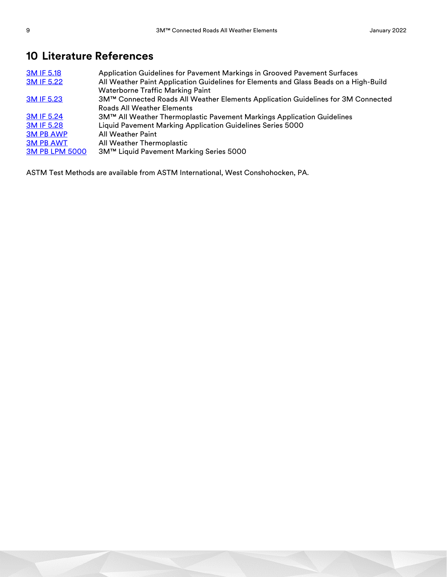# **10 Literature References**

| 3M IF 5.18            | Application Guidelines for Pavement Markings in Grooved Pavement Surfaces             |
|-----------------------|---------------------------------------------------------------------------------------|
| 3M IF 5.22            | All Weather Paint Application Guidelines for Elements and Glass Beads on a High-Build |
|                       | <b>Waterborne Traffic Marking Paint</b>                                               |
| <b>3M IF 5.23</b>     | 3M™ Connected Roads All Weather Elements Application Guidelines for 3M Connected      |
|                       | <b>Roads All Weather Elements</b>                                                     |
| 3M IF 5.24            | 3M™ All Weather Thermoplastic Pavement Markings Application Guidelines                |
| 3M IF 5.28            | Liquid Pavement Marking Application Guidelines Series 5000                            |
| <b>3M PB AWP</b>      | <b>All Weather Paint</b>                                                              |
| <b>3M PB AWT</b>      | All Weather Thermoplastic                                                             |
| <b>3M PB LPM 5000</b> | 3M™ Liquid Pavement Marking Series 5000                                               |
|                       |                                                                                       |

ASTM Test Methods are available from ASTM International, West Conshohocken, PA.